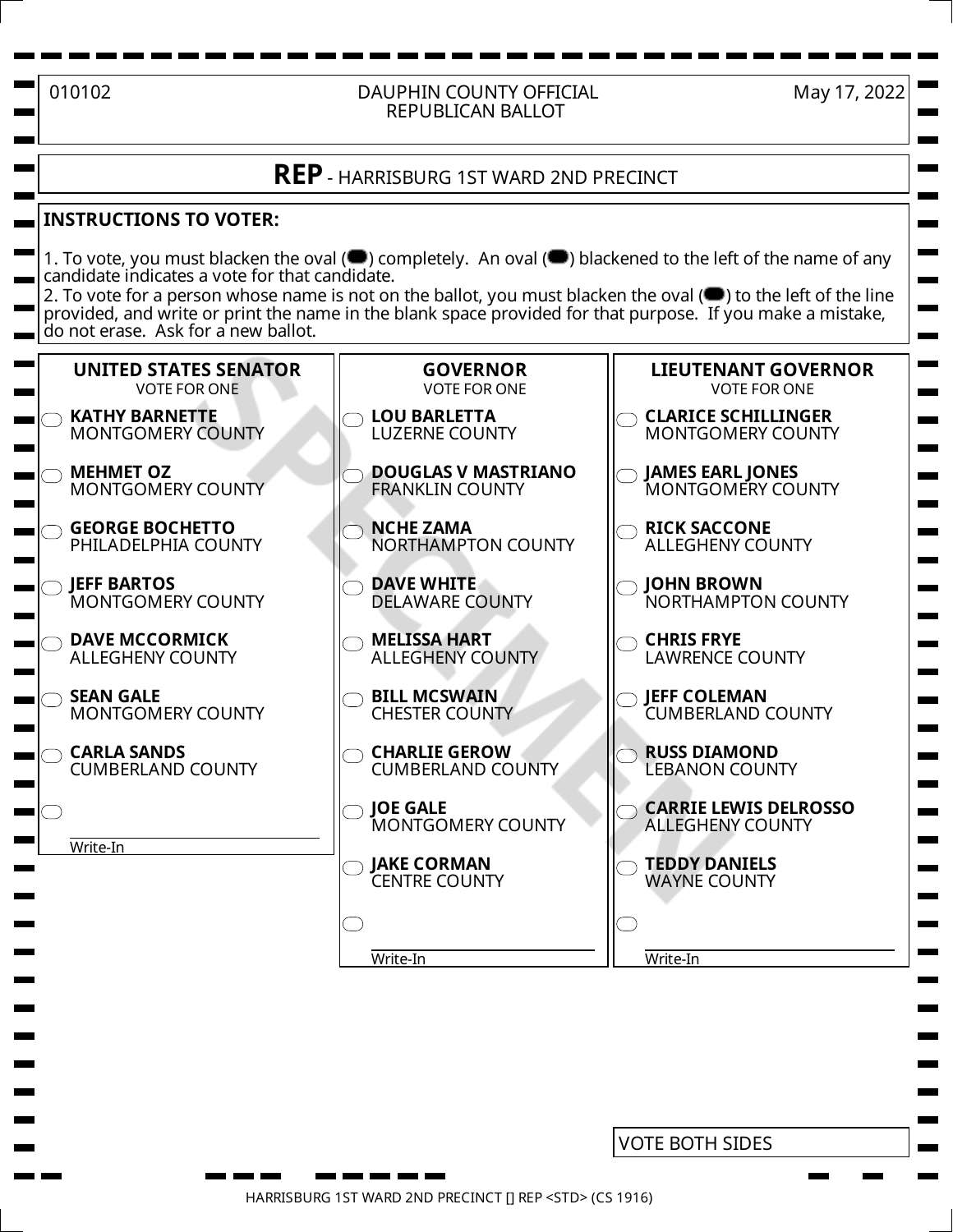## 010102 DAUPHIN COUNTY OFFICIAL REPUBLICAN BALLOT

## **REP**- HARRISBURG 1ST WARD 2ND PRECINCT

## **INSTRUCTIONS TO VOTER:**

1. To vote, you must blacken the oval (C) completely. An oval (C) blackened to the left of the name of any candidate indicates a vote for that candidate.

2. To vote for a person whose name is not on the ballot, you must blacken the oval  $($ , to the left of the line provided, and write or print the name in the blank space provided for that purpose. If you make a mistake, do not erase. Ask for a new ballot.



VOTE BOTH SIDES